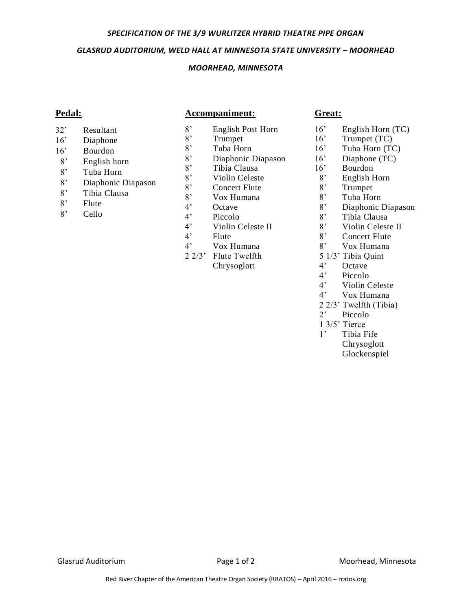#### *SPECIFICATION OF THE 3/9 WURLITZER HYBRID THEATRE PIPE ORGAN*

### *GLASRUD AUDITORIUM, WELD HALL AT MINNESOTA STATE UNIVERSITY – MOORHEAD*

## *MOORHEAD, MINNESOTA*

# **Pedal:**

## **Accompaniment:**

- 32' Resultant
- 16' Diaphone
- 16' Bourdon
- 8' English horn
- 8' Tuba Horn
- 8' Diaphonic Diapason
- 8' Tibia Clausa
- 
- 8' Flute
- 8' Cello
- 8' English Post Horn
- 8' Trumpet
- 8' Tuba Horn
- 8' Diaphonic Diapason<br>8' Tibia Clausa
- Tibia Clausa
- 8' Violin Celeste<br>8' Concert Flute
- 8' Concert Flute<br>8' Vox Humana
- Vox Humana
- 4' Octave
- 4' Piccolo
- 4' Violin Celeste II
- 4' Flute
- 4' Vox Humana
- 2 2/3' Flute Twelfth Chrysoglott

## **Great:**

- 16' English Horn (TC)
- 16' Trumpet (TC)
- 16' Tuba Horn (TC)
- 16' Diaphone (TC)
- 16' Bourdon
- 8' English Horn
- 8' Trumpet<br>8' Tuba Hor
- 
- 8' Tuba Horn<br>8' Diaphonic I Diaphonic Diapason
- 8' Tibia Clausa
- 8' Violin Celeste II
- 8' Concert Flute
- 8' Vox Humana
- 5 1/3' Tibia Quint
- 4' Octave
- 4' Piccolo
- 4' Violin Celeste
- 4' Vox Humana
- 2 2/3' Twelfth (Tibia)
- 2' Piccolo
- 1 3/5' Tierce
- 1' Tibia Fife Chrysoglott Glockenspiel